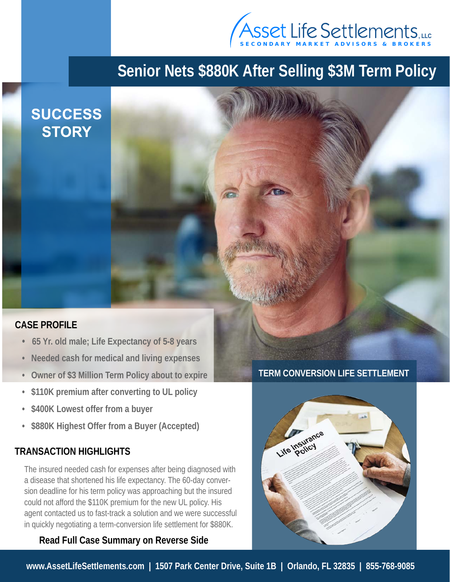

# **Senior Nets \$880K After Selling \$3M Term Policy**

## **SUCCESS STORY**

#### **CASE PROFILE**

- **65 Yr. old male; Life Expectancy of 5-8 years**
- **Needed cash for medical and living expenses**
- **Owner of \$3 Million Term Policy about to expire**
- **\$110K premium after converting to UL policy**
- **\$400K Lowest offer from a buyer**
- **\$880K Highest Offer from a Buyer (Accepted)**

#### **TRANSACTION HIGHLIGHTS**

The insured needed cash for expenses after being diagnosed with a disease that shortened his life expectancy. The 60-day conversion deadline for his term policy was approaching but the insured could not afford the \$110K premium for the new UL policy. His agent contacted us to fast-track a solution and we were successful in quickly negotiating a term-conversion life settlement for \$880K.

#### **Read Full Case Summary on Reverse Side**

**TERM CONVERSION LIFE SETTLEMENT**